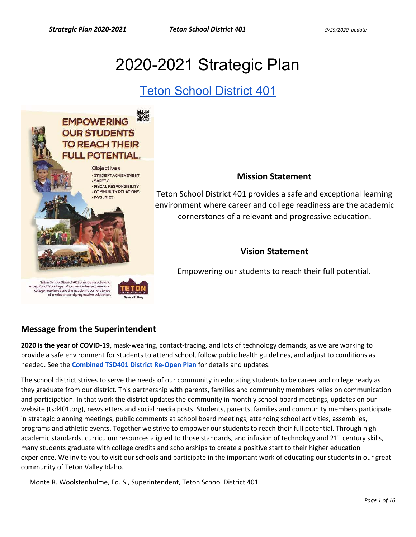# 2020-2021 Strategic Plan

# [Teton School District 401](https://tsd401.org/)



### **Mission Statement**

Teton School District 401 provides a safe and exceptional learning environment where career and college readiness are the academic cornerstones of a relevant and progressive education.

## **Vision Statement**

Empowering our students to reach their full potential.

# of a relevant and progressive education

## **Message from the Superintendent**

**2020 is the year of COVID-19,** mask-wearing, contact-tracing, and lots of technology demands, as we are working to provide a safe environment for students to attend school, follow public health guidelines, and adjust to conditions as needed. See the **[Combined TSD401 District Re-Open Plan](https://docs.google.com/document/d/17yi2r0YRDRlpbjLUaJ9XVyuZI4UlQgmzN4eUFw4BP6k/edit?usp=sharing)** for details and updates.

The school district strives to serve the needs of our community in educating students to be career and college ready as they graduate from our district. This partnership with parents, families and community members relies on communication and participation. In that work the district updates the community in monthly school board meetings, updates on our website (tsd401.org), newsletters and social media posts. Students, parents, families and community members participate in strategic planning meetings, public comments at school board meetings, attending school activities, assemblies, programs and athletic events. Together we strive to empower our students to reach their full potential. Through high academic standards, curriculum resources aligned to those standards, and infusion of technology and 21<sup>st</sup> century skills, many students graduate with college credits and scholarships to create a positive start to their higher education experience. We invite you to visit our schools and participate in the important work of educating our students in our great community of Teton Valley Idaho.

Monte R. Woolstenhulme, Ed. S., Superintendent, Teton School District 401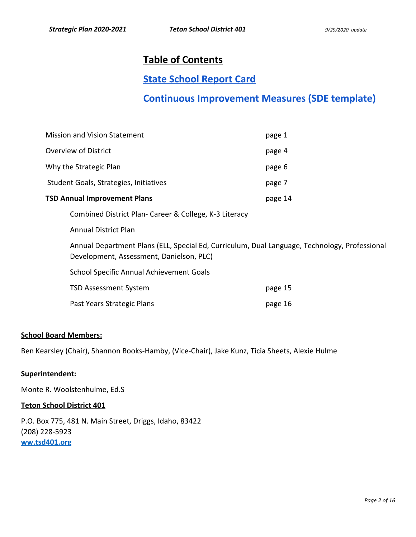# **Table of Contents**

# **[State School Report Card](http://apps.sde.idaho.gov/ReportCard/)**

# **[Continuous Improvement Measures \(SDE template\)](https://docs.google.com/document/d/132bA2GStWiqGkBeeicgnR4HaEmlZcDKxbPBqgpJbizs/edit?usp=sharing)**

| <b>Mission and Vision Statement</b>                    | page 1  |
|--------------------------------------------------------|---------|
| Overview of District                                   | page 4  |
| Why the Strategic Plan                                 | page 6  |
| Student Goals, Strategies, Initiatives                 | page 7  |
| <b>TSD Annual Improvement Plans</b>                    | page 14 |
| Combined District Plan- Career & College, K-3 Literacy |         |
| <b>Annual District Plan</b>                            |         |
|                                                        |         |

Annual Department Plans (ELL, Special Ed, Curriculum, Dual Language, Technology, Professional Development, Assessment, Danielson, PLC)

School Specific Annual Achievement Goals

| TSD Assessment System      | page 15 |
|----------------------------|---------|
| Past Years Strategic Plans | page 16 |

#### **School Board Members:**

Ben Kearsley (Chair), Shannon Books-Hamby, (Vice-Chair), Jake Kunz, Ticia Sheets, Alexie Hulme

#### **Superintendent:**

Monte R. Woolstenhulme, Ed.S

#### **Teton School District 401**

P.O. Box 775, 481 N. Main Street, Driggs, Idaho, 83422 (208) 228-5923 **[ww.tsd401.org](http://www.tsd401.org/)**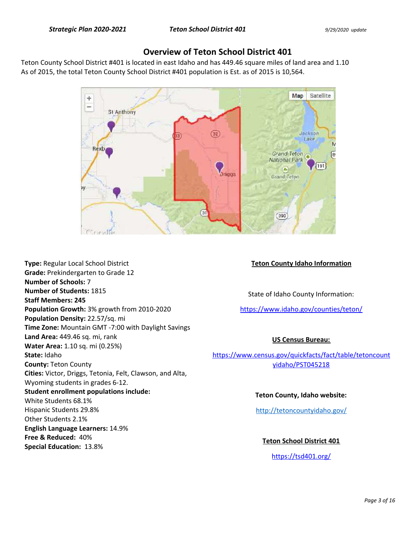### **Overview of Teton School District 401**

Teton County School District #401 is located in east Idaho and has 449.46 square miles of land area and 1.10 As of 2015, the total Teton County School District #401 population is Est. as of 2015 is 10,564.



**Type:** Regular Local School District **Grade:** Prekindergarten to Grade 12 **Number of Schools:** 7 **Number of Students:** 1815 **Staff Members: 245 Population Growth:** 3% growth from 2010-2020 **Population Density:** 22.57/sq. mi **Time Zone:** Mountain GMT -7:00 with Daylight Savings **Land Area:** 449.46 sq. mi, rank **Water Area:** 1.10 sq. mi (0.25%) **State:** Idaho **County:** Teton County **Cities:** Victor, Driggs, Tetonia, Felt, Clawson, and Alta, Wyoming students in grades 6-12. **Student enrollment populations include:**  White Students 68.1% Hispanic Students 29.8% Other Students 2.1% **English Language Learners:** 14.9% **Free & Reduced:** 40% **Special Education:** 13.8%

#### **Teton County Idaho Information**

State of Idaho County Information:

<https://www.idaho.gov/counties/teton/>

#### **US Census Bureau:**

[https://www.census.gov/quickfacts/fact/table/tetoncount](https://www.census.gov/quickfacts/fact/table/tetoncountyidaho/PST045218) [yidaho/PST045218](https://www.census.gov/quickfacts/fact/table/tetoncountyidaho/PST045218)

#### **Teton County, Idaho website:**

<http://tetoncountyidaho.gov/>

**Teton School District 401**  <https://tsd401.org/>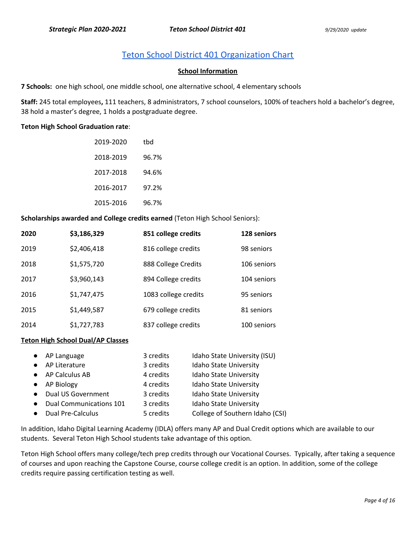# [Teton School District 401 Organization Chart](https://drive.google.com/open?id=15ul2oX83F_hlsha-73JHwhAyQQ_cNYRN)

#### **School Information**

**7 Schools:** one high school, one middle school, one alternative school, 4 elementary schools

**Staff:** 245 total employees**,** 111 teachers, 8 administrators, 7 school counselors, 100% of teachers hold a bachelor's degree, 38 hold a master's degree, 1 holds a postgraduate degree.

#### **Teton High School Graduation rate**:

| 2019-2020 | thd   |
|-----------|-------|
| 2018-2019 | 96.7% |
| 2017-2018 | 94.6% |
| 2016-2017 | 97.2% |
| 2015-2016 | 96.7% |

**Scholarships awarded and College credits earned** (Teton High School Seniors):

| 2020 | \$3,186,329 | 851 college credits  | 128 seniors |
|------|-------------|----------------------|-------------|
| 2019 | \$2,406,418 | 816 college credits  | 98 seniors  |
| 2018 | \$1,575,720 | 888 College Credits  | 106 seniors |
| 2017 | \$3,960,143 | 894 College credits  | 104 seniors |
| 2016 | \$1,747,475 | 1083 college credits | 95 seniors  |
| 2015 | \$1,449,587 | 679 college credits  | 81 seniors  |
| 2014 | \$1,727,783 | 837 college credits  | 100 seniors |

#### **Teton High School Dual/AP Classes**

|           | • AP Language             | 3 credits | Idaho State University (ISU)    |
|-----------|---------------------------|-----------|---------------------------------|
|           | • AP Literature           | 3 credits | <b>Idaho State University</b>   |
|           | • AP Calculus AB          | 4 credits | <b>Idaho State University</b>   |
|           | • AP Biology              | 4 credits | <b>Idaho State University</b>   |
| $\bullet$ | <b>Dual US Government</b> | 3 credits | Idaho State University          |
| $\bullet$ | Dual Communications 101   | 3 credits | <b>Idaho State University</b>   |
|           | <b>Dual Pre-Calculus</b>  | 5 credits | College of Southern Idaho (CSI) |

In addition, Idaho Digital Learning Academy (IDLA) offers many AP and Dual Credit options which are available to our students. Several Teton High School students take advantage of this option.

Teton High School offers many college/tech prep credits through our Vocational Courses. Typically, after taking a sequence of courses and upon reaching the Capstone Course, course college credit is an option. In addition, some of the college credits require passing certification testing as well.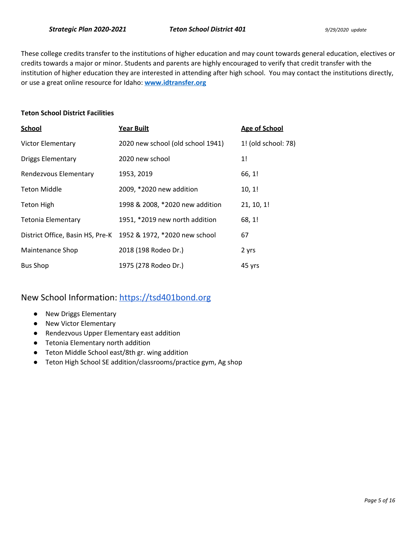These college credits transfer to the institutions of higher education and may count towards general education, electives or credits towards a major or minor. Students and parents are highly encouraged to verify that credit transfer with the institution of higher education they are interested in attending after high school. You may contact the institutions directly, or use a great online resource for Idaho: **www.idtransfer.org**

#### **Teton School District Facilities**

| <b>School</b>                    | Year Built                        | <b>Age of School</b> |
|----------------------------------|-----------------------------------|----------------------|
| <b>Victor Elementary</b>         | 2020 new school (old school 1941) | 1! (old school: 78)  |
| <b>Driggs Elementary</b>         | 2020 new school                   | 1!                   |
| Rendezvous Elementary            | 1953, 2019                        | 66, 1!               |
| <b>Teton Middle</b>              | 2009, *2020 new addition          | 10, 1!               |
| <b>Teton High</b>                | 1998 & 2008, *2020 new addition   | 21, 10, 1!           |
| Tetonia Elementary               | 1951, *2019 new north addition    | 68, 1!               |
| District Office, Basin HS, Pre-K | 1952 & 1972, *2020 new school     | 67                   |
| Maintenance Shop                 | 2018 (198 Rodeo Dr.)              | 2 yrs                |
| <b>Bus Shop</b>                  | 1975 (278 Rodeo Dr.)              | 45 yrs               |

## New School Information: [https://tsd401bond.org](https://tsd401bond.org/)

- New Driggs Elementary
- New Victor Elementary
- Rendezvous Upper Elementary east addition
- Tetonia Elementary north addition
- Teton Middle School east/8th gr. wing addition
- Teton High School SE addition/classrooms/practice gym, Ag shop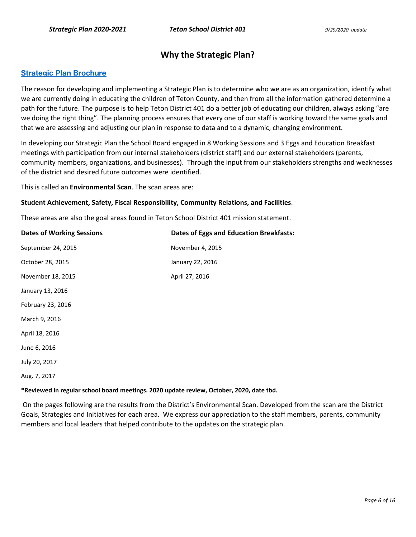### **Why the Strategic Plan?**

#### **[Strategic Plan Brochure](https://drive.google.com/file/d/0B7DsLEZP_RoibVQtRmNmaVl1UHBZME1kRjEwUXgxcjhCZ2Vv/view?usp=sharing)**

The reason for developing and implementing a Strategic Plan is to determine who we are as an organization, identify what we are currently doing in educating the children of Teton County, and then from all the information gathered determine a path for the future. The purpose is to help Teton District 401 do a better job of educating our children, always asking "are we doing the right thing". The planning process ensures that every one of our staff is working toward the same goals and that we are assessing and adjusting our plan in response to data and to a dynamic, changing environment.

In developing our Strategic Plan the School Board engaged in 8 Working Sessions and 3 Eggs and Education Breakfast meetings with participation from our internal stakeholders (district staff) and our external stakeholders (parents, community members, organizations, and businesses). Through the input from our stakeholders strengths and weaknesses of the district and desired future outcomes were identified.

This is called an **Environmental Scan**. The scan areas are:

#### **Student Achievement, Safety, Fiscal Responsibility, Community Relations, and Facilities**.

These areas are also the goal areas found in Teton School District 401 mission statement.

| <b>Dates of Working Sessions</b> | <b>Dates of Eggs and Education Breakfasts:</b> |
|----------------------------------|------------------------------------------------|
| September 24, 2015               | November 4, 2015                               |
| October 28, 2015                 | January 22, 2016                               |
| November 18, 2015                | April 27, 2016                                 |
| January 13, 2016                 |                                                |
| February 23, 2016                |                                                |
| March 9, 2016                    |                                                |
| April 18, 2016                   |                                                |
| June 6, 2016                     |                                                |
| July 20, 2017                    |                                                |
| Aug. 7, 2017                     |                                                |
|                                  |                                                |

#### **\*Reviewed in regular school board meetings. 2020 update review, October, 2020, date tbd.**

 On the pages following are the results from the District's Environmental Scan. Developed from the scan are the District Goals, Strategies and Initiatives for each area. We express our appreciation to the staff members, parents, community members and local leaders that helped contribute to the updates on the strategic plan.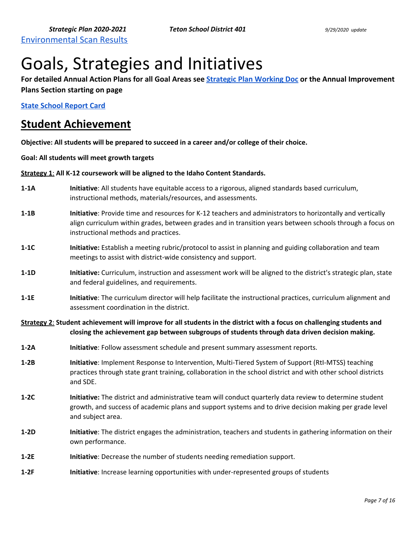# Goals, Strategies and Initiatives

**For detailed Annual Action Plans for all Goal Areas see [Strategic Plan Working Doc](https://docs.google.com/document/d/1UdBQ6MDJKGCCqXcR3KUIAaoxWyKXPVHcqfKDGY19Ntk/edit?usp=sharing) or the Annual Improvement Plans Section starting on page** 

**[State School Report Card](http://apps.sde.idaho.gov/ReportCard/)** 

# **Student Achievement**

**Objective: All students will be prepared to succeed in a career and/or college of their choice.** 

**Goal: All students will meet growth targets** 

**Strategy 1**: **All K-12 coursework will be aligned to the Idaho Content Standards.** 

- **1-1A Initiative**: All students have equitable access to a rigorous, aligned standards based curriculum, instructional methods, materials/resources, and assessments.
- **1-1B Initiative**: Provide time and resources for K-12 teachers and administrators to horizontally and vertically align curriculum within grades, between grades and in transition years between schools through a focus on instructional methods and practices.
- **1-1C Initiative:** Establish a meeting rubric/protocol to assist in planning and guiding collaboration and team meetings to assist with district-wide consistency and support.
- **1-1D** Initiative: Curriculum, instruction and assessment work will be aligned to the district's strategic plan, state and federal guidelines, and requirements.
- **1-1E Initiative**: The curriculum director will help facilitate the instructional practices, curriculum alignment and assessment coordination in the district.

**Strategy 2**: **Student achievement will improve for all students in the district with a focus on challenging students and closing the achievement gap between subgroups of students through data driven decision making.** 

- **1-2A Initiative**: Follow assessment schedule and present summary assessment reports.
- **1-2B Initiative**: Implement Response to Intervention, Multi-Tiered System of Support (RtI-MTSS) teaching practices through state grant training, collaboration in the school district and with other school districts and SDE.
- **1-2C Initiative:** The district and administrative team will conduct quarterly data review to determine student growth, and success of academic plans and support systems and to drive decision making per grade level and subject area.
- **1-2D Initiative**: The district engages the administration, teachers and students in gathering information on their own performance.
- **1-2E Initiative**: Decrease the number of students needing remediation support.
- **1-2F Initiative**: Increase learning opportunities with under-represented groups of students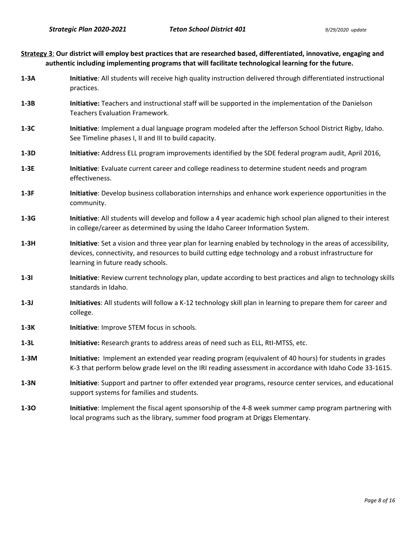| Strategy 3: Our district will employ best practices that are researched based, differentiated, innovative, engaging and |
|-------------------------------------------------------------------------------------------------------------------------|
| authentic including implementing programs that will facilitate technological learning for the future.                   |

- **1-3A Initiative**: All students will receive high quality instruction delivered through differentiated instructional practices.
- **1-3B Initiative:** Teachers and instructional staff will be supported in the implementation of the Danielson Teachers Evaluation Framework.
- **1-3C Initiative**: Implement a dual language program modeled after the Jefferson School District Rigby, Idaho. See Timeline phases I, II and III to build capacity.
- **1-3D Initiative:** Address ELL program improvements identified by the SDE federal program audit, April 2016,
- **1-3E Initiative**: Evaluate current career and college readiness to determine student needs and program effectiveness.
- **1-3F Initiative**: Develop business collaboration internships and enhance work experience opportunities in the community.
- **1-3G Initiative**: All students will develop and follow a 4 year academic high school plan aligned to their interest in college/career as determined by using the Idaho Career Information System.
- **1-3H Initiative**: Set a vision and three year plan for learning enabled by technology in the areas of accessibility, devices, connectivity, and resources to build cutting edge technology and a robust infrastructure for learning in future ready schools.
- **1-3I** Initiative: Review current technology plan, update according to best practices and align to technology skills standards in Idaho.
- **1-3J** Initiatives: All students will follow a K-12 technology skill plan in learning to prepare them for career and college.
- **1-3K Initiative:** Improve STEM focus in schools.
- **1-3L Initiative:** Research grants to address areas of need such as ELL, RtI-MTSS, etc.
- **1-3M Initiative:** Implement an extended year reading program (equivalent of 40 hours) for students in grades K-3 that perform below grade level on the IRI reading assessment in accordance with Idaho Code 33-1615.
- **1-3N Initiative**: Support and partner to offer extended year programs, resource center services, and educational support systems for families and students.
- **1-3O Initiative**: Implement the fiscal agent sponsorship of the 4-8 week summer camp program partnering with local programs such as the library, summer food program at Driggs Elementary.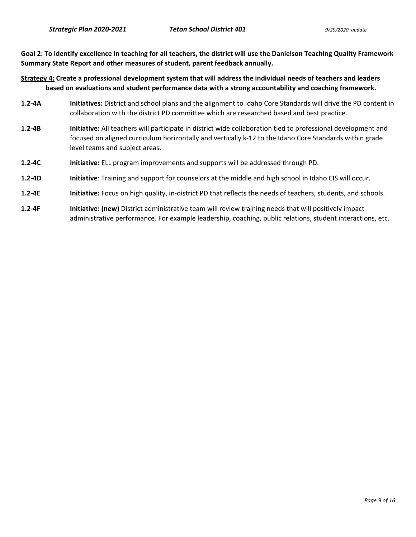**Goal 2: To identify excellence in teaching for all teachers, the district will use the Danielson Teaching Quality Framework Summary State Report and other measures of student, parent feedback annually.** 

**Strategy 4: Create a professional development system that will address the individual needs of teachers and leaders based on evaluations and student performance data with a strong accountability and coaching framework.** 

- **1.2-4A Initiatives:** District and school plans and the alignment to Idaho Core Standards will drive the PD content in collaboration with the district PD committee which are researched based and best practice.
- **1.2-4B Initiative:** All teachers will participate in district wide collaboration tied to professional development and focused on aligned curriculum horizontally and vertically k-12 to the Idaho Core Standards within grade level teams and subject areas.
- **1.2-4C Initiative:** ELL program improvements and supports will be addressed through PD.
- **1.2-4D Initiative**: Training and support for counselors at the middle and high school in Idaho CIS will occur.
- **1.2-4E Initiative:** Focus on high quality, in-district PD that reflects the needs of teachers, students, and schools.
- **1.2-4F Initiative: (new)** District administrative team will review training needs that will positively impact administrative performance. For example leadership, coaching, public relations, student interactions, etc.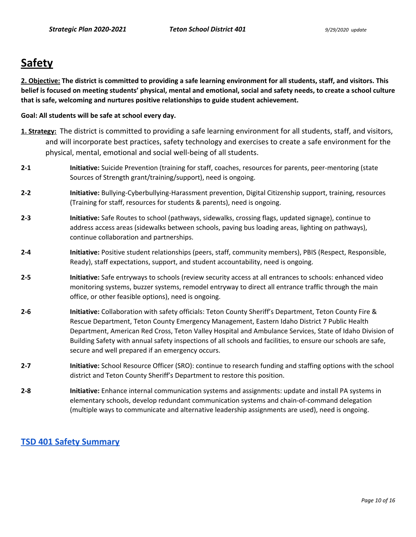# **Safety**

**2. Objective: The district is committed to providing a safe learning environment for all students, staff, and visitors. This belief is focused on meeting students' physical, mental and emotional, social and safety needs, to create a school culture that is safe, welcoming and nurtures positive relationships to guide student achievement.** 

#### **Goal: All students will be safe at school every day.**

- **1. Strategy:** The district is committed to providing a safe learning environment for all students, staff, and visitors, and will incorporate best practices, safety technology and exercises to create a safe environment for the physical, mental, emotional and social well-being of all students.
- **2-1 Initiative:** Suicide Prevention (training for staff, coaches, resources for parents, peer-mentoring (state Sources of Strength grant/training/support), need is ongoing.
- **2-2 Initiative:** Bullying-Cyberbullying-Harassment prevention, Digital Citizenship support, training, resources (Training for staff, resources for students & parents), need is ongoing.
- **2-3 Initiative:** Safe Routes to school (pathways, sidewalks, crossing flags, updated signage), continue to address access areas (sidewalks between schools, paving bus loading areas, lighting on pathways), continue collaboration and partnerships.
- **2-4 Initiative:** Positive student relationships (peers, staff, community members), PBIS (Respect, Responsible, Ready), staff expectations, support, and student accountability, need is ongoing.
- **2-5 Initiative:** Safe entryways to schools (review security access at all entrances to schools: enhanced video monitoring systems, buzzer systems, remodel entryway to direct all entrance traffic through the main office, or other feasible options), need is ongoing.
- **2-6 Initiative:** Collaboration with safety officials: Teton County Sheriff's Department, Teton County Fire & Rescue Department, Teton County Emergency Management, Eastern Idaho District 7 Public Health Department, American Red Cross, Teton Valley Hospital and Ambulance Services, State of Idaho Division of Building Safety with annual safety inspections of all schools and facilities, to ensure our schools are safe, secure and well prepared if an emergency occurs.
- **2-7 Initiative:** School Resource Officer (SRO): continue to research funding and staffing options with the school district and Teton County Sheriff's Department to restore this position.
- **2-8 Initiative:** Enhance internal communication systems and assignments: update and install PA systems in elementary schools, develop redundant communication systems and chain-of-command delegation (multiple ways to communicate and alternative leadership assignments are used), need is ongoing.

### **[TSD 401 Safety Summary](https://tsd401.org/district/school-safety-security/)**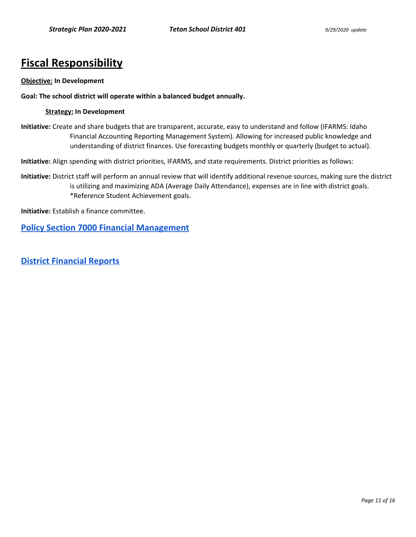# **Fiscal Responsibility**

#### **Objective: In Development**

#### **Goal: The school district will operate within a balanced budget annually.**

#### **Strategy: In Development**

**Initiative:** Create and share budgets that are transparent, accurate, easy to understand and follow (IFARMS: Idaho Financial Accounting Reporting Management System). Allowing for increased public knowledge and understanding of district finances. Use forecasting budgets monthly or quarterly (budget to actual).

**Initiative:** Align spending with district priorities, IFARMS, and state requirements. District priorities as follows:

**Initiative:** District staff will perform an annual review that will identify additional revenue sources, making sure the district is utilizing and maximizing ADA (Average Daily Attendance), expenses are in line with district goals. \*Reference Student Achievement goals.

**Initiative:** Establish a finance committee.

**[Policy Section 7000 Financial Management](https://tsd401.org/policies/financial-management/)**

**[District Financial Reports](https://tsd401.org/financial-reports/)**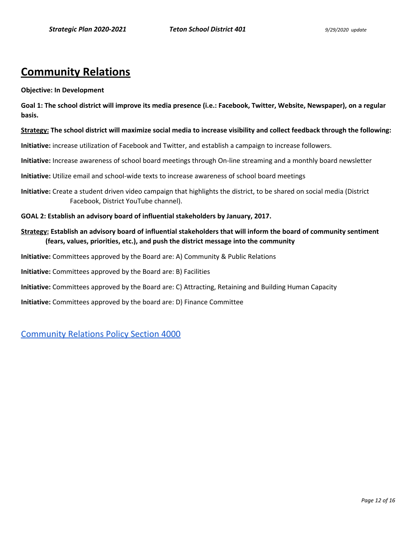# **Community Relations**

#### **Objective: In Development**

**Goal 1: The school district will improve its media presence (i.e.: Facebook, Twitter, Website, Newspaper), on a regular basis.** 

#### **Strategy: The school district will maximize social media to increase visibility and collect feedback through the following:**

**Initiative:** increase utilization of Facebook and Twitter, and establish a campaign to increase followers.

**Initiative:** Increase awareness of school board meetings through On-line streaming and a monthly board newsletter

**Initiative:** Utilize email and school-wide texts to increase awareness of school board meetings

**Initiative:** Create a student driven video campaign that highlights the district, to be shared on social media (District Facebook, District YouTube channel).

**GOAL 2: Establish an advisory board of influential stakeholders by January, 2017.** 

#### **Strategy: Establish an advisory board of influential stakeholders that will inform the board of community sentiment (fears, values, priorities, etc.), and push the district message into the community**

**Initiative:** Committees approved by the Board are: A) Community & Public Relations

**Initiative:** Committees approved by the Board are: B) Facilities

**Initiative:** Committees approved by the Board are: C) Attracting, Retaining and Building Human Capacity

**Initiative:** Committees approved by the board are: D) Finance Committee

[Community Relations Policy Section 4000](https://tsd401.org/policies/community-relations/)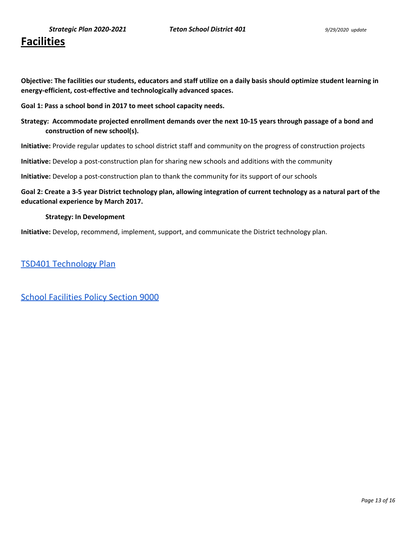# **Facilities**

**Objective: The facilities our students, educators and staff utilize on a daily basis should optimize student learning in energy-efficient, cost-effective and technologically advanced spaces.** 

**Goal 1: Pass a school bond in 2017 to meet school capacity needs.**

**Strategy: Accommodate projected enrollment demands over the next 10-15 years through passage of a bond and construction of new school(s).** 

**Initiative:** Provide regular updates to school district staff and community on the progress of construction projects

**Initiative:** Develop a post-construction plan for sharing new schools and additions with the community

**Initiative:** Develop a post-construction plan to thank the community for its support of our schools

**Goal 2: Create a 3-5 year District technology plan, allowing integration of current technology as a natural part of the educational experience by March 2017.** 

#### **Strategy: In Development**

**Initiative:** Develop, recommend, implement, support, and communicate the District technology plan.

[TSD401 Technology Plan](https://drive.google.com/open?id=11CWYCDNeYfo3fuuQWXuWSGai6xk4yLsUryUFc5-LIgU) 

[School Facilities Policy Section 9000](https://tsd401.org/policies/school-facilities/)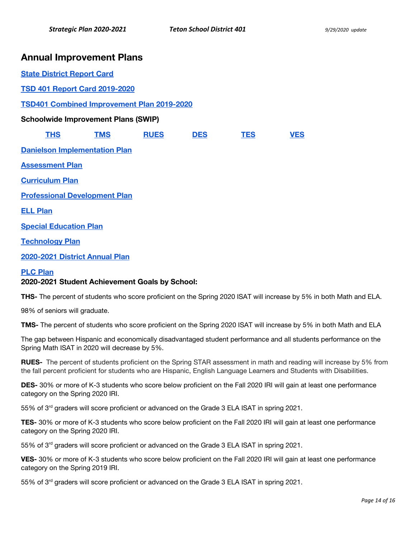## **Annual Improvement Plans**

| <b>State District Report Card</b>                 |                                      |             |            |            |            |
|---------------------------------------------------|--------------------------------------|-------------|------------|------------|------------|
| <b>TSD 401 Report Card 2019-2020</b>              |                                      |             |            |            |            |
| <b>TSD401 Combined Improvement Plan 2019-2020</b> |                                      |             |            |            |            |
| <b>Schoolwide Improvement Plans (SWIP)</b>        |                                      |             |            |            |            |
| <b>THS</b>                                        | <b>TMS</b>                           | <b>RUES</b> | <b>DES</b> | <b>TES</b> | <b>VES</b> |
|                                                   | <b>Danielson Implementation Plan</b> |             |            |            |            |
| <b>Assessment Plan</b>                            |                                      |             |            |            |            |
| <b>Curriculum Plan</b>                            |                                      |             |            |            |            |
| <b>Professional Development Plan</b>              |                                      |             |            |            |            |
| <b>ELL Plan</b>                                   |                                      |             |            |            |            |
| <b>Special Education Plan</b>                     |                                      |             |            |            |            |
| <b>Technology Plan</b>                            |                                      |             |            |            |            |
| 2020-2021 District Annual Plan                    |                                      |             |            |            |            |

#### **[PLC Plan](https://drive.google.com/open?id=1bEhqC1WFtcdszKu-J6TtACpOvY9DWgGZj23aDxaigRY)**

#### **2020-2021 Student Achievement Goals by School:**

**THS-** The percent of students who score proficient on the Spring 2020 ISAT will increase by 5% in both Math and ELA.

98% of seniors will graduate.

**TMS-** The percent of students who score proficient on the Spring 2020 ISAT will increase by 5% in both Math and ELA

The gap between Hispanic and economically disadvantaged student performance and all students performance on the Spring Math ISAT in 2020 will decrease by 5%.

**RUES-** The percent of students proficient on the Spring STAR assessment in math and reading will increase by 5% from the fall percent proficient for students who are Hispanic, English Language Learners and Students with Disabilities.

**DES-** 30% or more of K-3 students who score below proficient on the Fall 2020 IRI will gain at least one performance category on the Spring 2020 IRI.

55% of 3<sup>rd</sup> graders will score proficient or advanced on the Grade 3 ELA ISAT in spring 2021.

**TES-** 30% or more of K-3 students who score below proficient on the Fall 2020 IRI will gain at least one performance category on the Spring 2020 IRI.

55% of 3<sup>rd</sup> graders will score proficient or advanced on the Grade 3 ELA ISAT in spring 2021.

**VES-** 30% or more of K-3 students who score below proficient on the Fall 2020 IRI will gain at least one performance category on the Spring 2019 IRI.

55% of 3<sup>rd</sup> graders will score proficient or advanced on the Grade 3 ELA ISAT in spring 2021.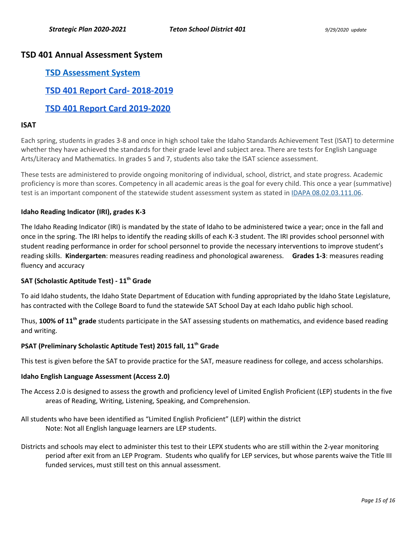### **TSD 401 Annual Assessment System**

### **[TSD Assessment System](https://docs.google.com/document/d/17hBK5ZV4TdIM6yhGSSr7XVZdts-W2zFTqWvbL5jwBEE/edit?usp=sharing)**

**[TSD 401 Report Card- 2018-2019](https://drive.google.com/open?id=1KzcMYj5SiUpivP9_ISrp-WbeRKxPicHi8AIH0R0CZ50)** 

### **[TSD 401 Report Card 2019-2020](https://docs.google.com/document/d/1lCvpJqoWT6CT6AlqfJzgj9p-D8RalcHvQ9jXz_Ps0aY/edit?usp=sharing)**

#### **ISAT**

Each spring, students in grades 3-8 and once in high school take the Idaho Standards Achievement Test (ISAT) to determine whether they have achieved the standards for their grade level and subject area. There are tests for English Language Arts/Literacy and Mathematics. In grades 5 and 7, students also take the ISAT science assessment.

These tests are administered to provide ongoing monitoring of individual, school, district, and state progress. Academic proficiency is more than scores. Competency in all academic areas is the goal for every child. This once a year (summative) test is an important component of the statewide student assessment system as stated in [IDAPA 08.02.03.111.06.](https://adminrules.idaho.gov/rules/current/08/080203.pdf#page=21)

#### **Idaho Reading Indicator (IRI), grades K-3**

The Idaho Reading Indicator (IRI) is mandated by the state of Idaho to be administered twice a year; once in the fall and once in the spring. The IRI helps to identify the reading skills of each K-3 student. The IRI provides school personnel with student reading performance in order for school personnel to provide the necessary interventions to improve student's reading skills. **Kindergarten**: measures reading readiness and phonological awareness. **Grades 1-3**: measures reading fluency and accuracy

#### **SAT (Scholastic Aptitude Test) - 11th Grade**

To aid Idaho students, the Idaho State Department of Education with funding appropriated by the Idaho State Legislature, has contracted with the College Board to fund the statewide SAT School Day at each Idaho public high school.

Thus, **100% of 11th grade** students participate in the SAT assessing students on mathematics, and evidence based reading and writing.

#### **PSAT (Preliminary Scholastic Aptitude Test) 2015 fall, 11th Grade**

This test is given before the SAT to provide practice for the SAT, measure readiness for college, and access scholarships.

#### **Idaho English Language Assessment (Access 2.0)**

- The Access 2.0 is designed to assess the growth and proficiency level of Limited English Proficient (LEP) students in the five areas of Reading, Writing, Listening, Speaking, and Comprehension.
- All students who have been identified as "Limited English Proficient" (LEP) within the district Note: Not all English language learners are LEP students.
- Districts and schools may elect to administer this test to their LEPX students who are still within the 2-year monitoring period after exit from an LEP Program. Students who qualify for LEP services, but whose parents waive the Title III funded services, must still test on this annual assessment.